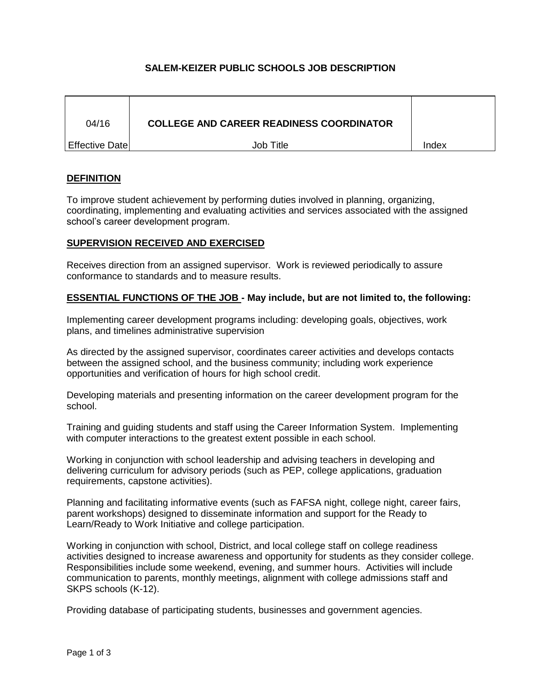# **SALEM-KEIZER PUBLIC SCHOOLS JOB DESCRIPTION**

| 04/16                  | <b>COLLEGE AND CAREER READINESS COORDINATOR</b> |       |
|------------------------|-------------------------------------------------|-------|
| <b>Effective Datel</b> | Job Title                                       | Index |

# **DEFINITION**

To improve student achievement by performing duties involved in planning, organizing, coordinating, implementing and evaluating activities and services associated with the assigned school's career development program.

### **SUPERVISION RECEIVED AND EXERCISED**

Receives direction from an assigned supervisor. Work is reviewed periodically to assure conformance to standards and to measure results.

### **ESSENTIAL FUNCTIONS OF THE JOB - May include, but are not limited to, the following:**

Implementing career development programs including: developing goals, objectives, work plans, and timelines administrative supervision

As directed by the assigned supervisor, coordinates career activities and develops contacts between the assigned school, and the business community; including work experience opportunities and verification of hours for high school credit.

Developing materials and presenting information on the career development program for the school.

Training and guiding students and staff using the Career Information System. Implementing with computer interactions to the greatest extent possible in each school.

Working in conjunction with school leadership and advising teachers in developing and delivering curriculum for advisory periods (such as PEP, college applications, graduation requirements, capstone activities).

Planning and facilitating informative events (such as FAFSA night, college night, career fairs, parent workshops) designed to disseminate information and support for the Ready to Learn/Ready to Work Initiative and college participation.

Working in conjunction with school, District, and local college staff on college readiness activities designed to increase awareness and opportunity for students as they consider college. Responsibilities include some weekend, evening, and summer hours. Activities will include communication to parents, monthly meetings, alignment with college admissions staff and SKPS schools (K-12).

Providing database of participating students, businesses and government agencies.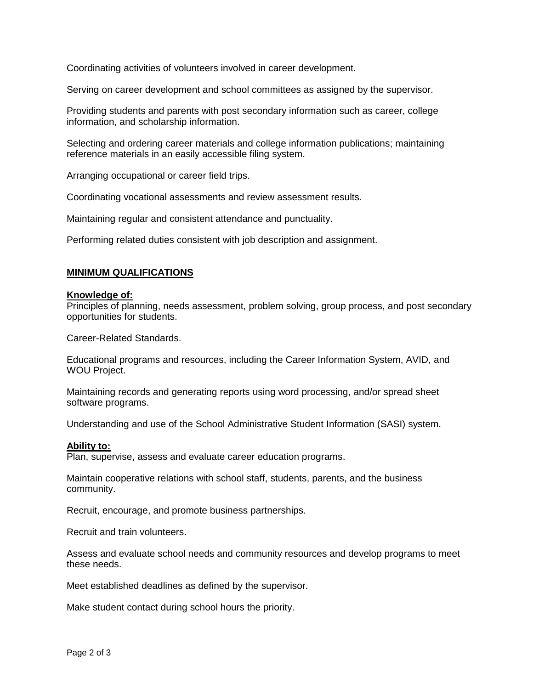Coordinating activities of volunteers involved in career development.

Serving on career development and school committees as assigned by the supervisor.

Providing students and parents with post secondary information such as career, college information, and scholarship information.

Selecting and ordering career materials and college information publications; maintaining reference materials in an easily accessible filing system.

Arranging occupational or career field trips.

Coordinating vocational assessments and review assessment results.

Maintaining regular and consistent attendance and punctuality.

Performing related duties consistent with job description and assignment.

## **MINIMUM QUALIFICATIONS**

### **Knowledge of:**

Principles of planning, needs assessment, problem solving, group process, and post secondary opportunities for students.

Career-Related Standards.

Educational programs and resources, including the Career Information System, AVID, and WOU Project.

Maintaining records and generating reports using word processing, and/or spread sheet software programs.

Understanding and use of the School Administrative Student Information (SASI) system.

#### **Ability to:**

Plan, supervise, assess and evaluate career education programs.

Maintain cooperative relations with school staff, students, parents, and the business community.

Recruit, encourage, and promote business partnerships.

Recruit and train volunteers.

Assess and evaluate school needs and community resources and develop programs to meet these needs.

Meet established deadlines as defined by the supervisor.

Make student contact during school hours the priority.